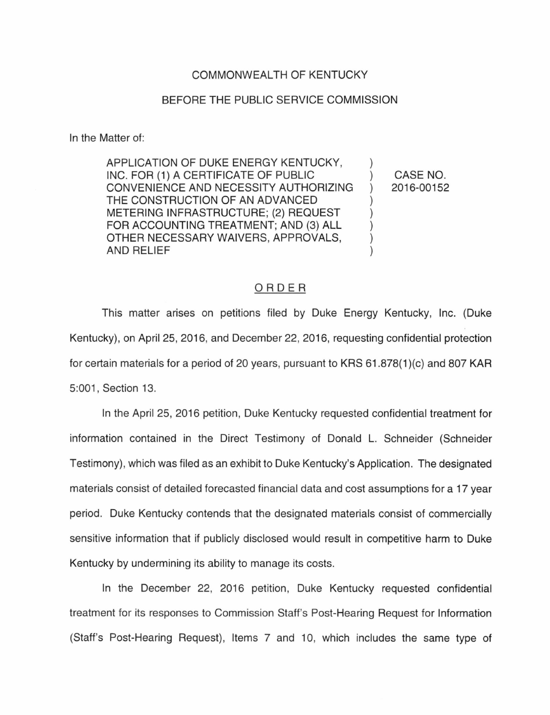## COMMONWEALTH OF KENTUCKY

## BEFORE THE PUBLIC SERVICE COMMISSION

In the Matter of:

APPLICATION OF DUKE ENERGY KENTUCKY, INC. FOR (1) A CERTIFICATE OF PUBLIC CONVENIENCE AND NECESSITY AUTHORIZING THE CONSTRUCTION OF AN ADVANCED METERING INFRASTRUCTURE; (2) REQUEST FOR ACCOUNTING TREATMENT; AND (3) ALL OTHER NECESSARY WAIVERS, APPROVALS, AND RELIEF

CASE NO. 2016-00152

 $\mathcal{L}$ 

 $\mathcal{L}$  $\mathcal{E}$  $\mathcal{C}$  $\mathcal{E}$  $\mathcal{C}$ )

## ORDER

This matter arises on petitions filed by Duke Energy Kentucky, Inc. (Duke Kentucky), on April 25, 2016, and December 22, 2016, requesting confidential protection for certain materials for a period of 20 years, pursuant to KRS 61.878(1 )(c) and 807 KAR 5:001 , Section 13.

In the April 25, 2016 petition, Duke Kentucky requested confidential treatment for information contained in the Direct Testimony of Donald L. Schneider (Schneider Testimony), which was filed as an exhibit to Duke Kentucky's Application. The designated materials consist of detailed forecasted financial data and cost assumptions for a 17 year period. Duke Kentucky contends that the designated materials consist of commercially sensitive information that if publicly disclosed would result in competitive harm to Duke Kentucky by undermining its ability to manage its costs.

In the December 22, 2016 petition, Duke Kentucky requested confidential treatment for its responses to Commission Staff's Post-Hearing Request for Information (Staff's Post-Hearing Request), Items 7 and 10, which includes the same type of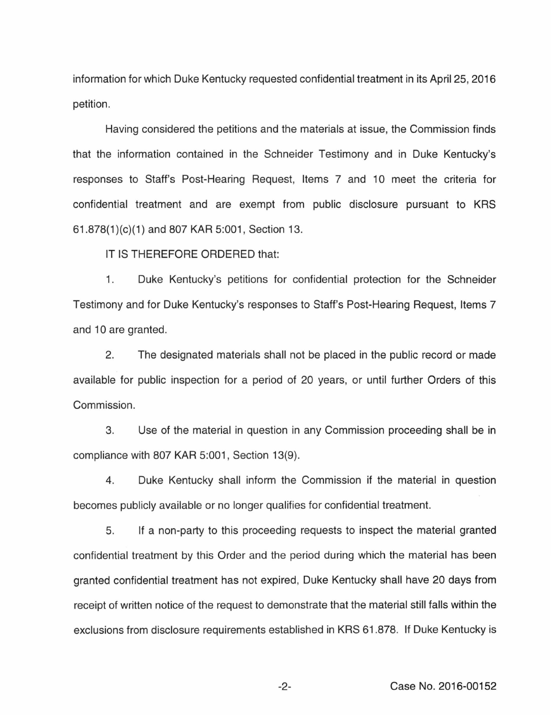information for which Duke Kentucky requested confidential treatment in its April 25, 2016 petition.

Having considered the petitions and the materials at issue, the Commission finds that the information contained in the Schneider Testimony and in Duke Kentucky's responses to Staff's Post-Hearing Request, Items 7 and 10 meet the criteria for confidential treatment and are exempt from public disclosure pursuant to KRS 61.878(1 )(c)(1) and 807 KAR 5:001 , Section 13.

IT IS THEREFORE ORDERED that:

1. Duke Kentucky's petitions for confidential protection for the Schneider Testimony and for Duke Kentucky's responses to Staff's Post-Hearing Request, Items 7 and 10 are granted.

2. The designated materials shall not be placed in the public record or made available for public inspection for a period of 20 years, or until further Orders of this Commission.

3. Use of the material in question in any Commission proceeding shall be in compliance with 807 KAR 5:001, Section 13(9).

4. Duke Kentucky shall inform the Commission if the material in question becomes publicly available or no longer qualifies for confidential treatment.

5. If a non-party to this proceeding requests to inspect the material granted confidential treatment by this Order and the period during which the material has been granted confidential treatment has not expired, Duke Kentucky shall have 20 days from receipt of written notice of the request to demonstrate that the material still falls within the exclusions from disclosure requirements established in KRS 61.878. If Duke Kentucky is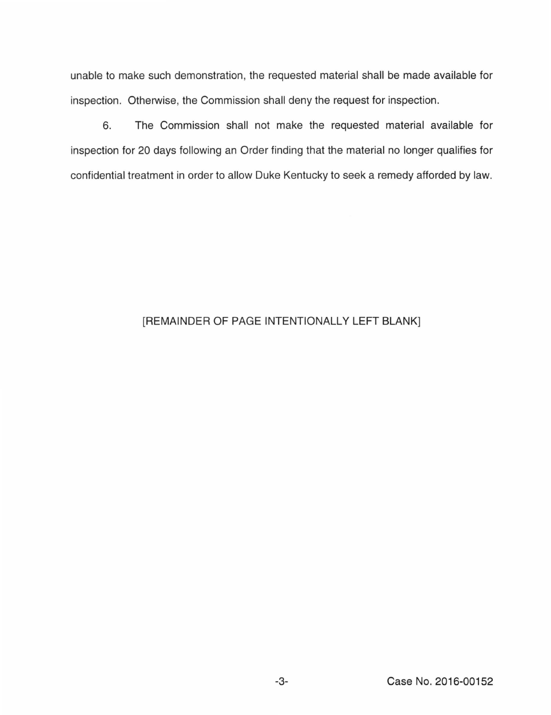unable to make such demonstration, the requested material shall be made available for inspection. Otherwise, the Commission shall deny the request for inspection.

6. The Commission shall not make the requested material available for inspection for 20 days following an Order finding that the material no longer qualifies for confidential treatment in order to allow Duke Kentucky to seek a remedy afforded by law.

## [REMAINDER OF PAGE INTENTIONALLY LEFT BLANK]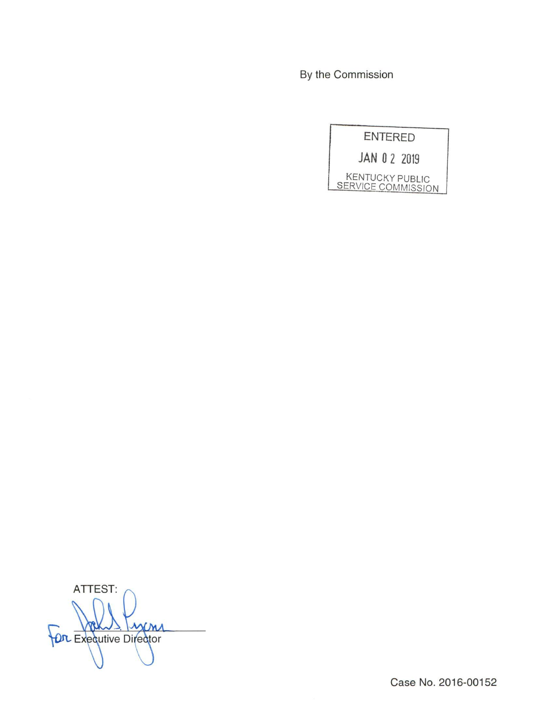By the Commission

**ENTERED** 

JAN 0 2 2019

KENTUCKY PUBLIC<br>SERVICE COMMISSION

ATTEST: MM Put Executive Director